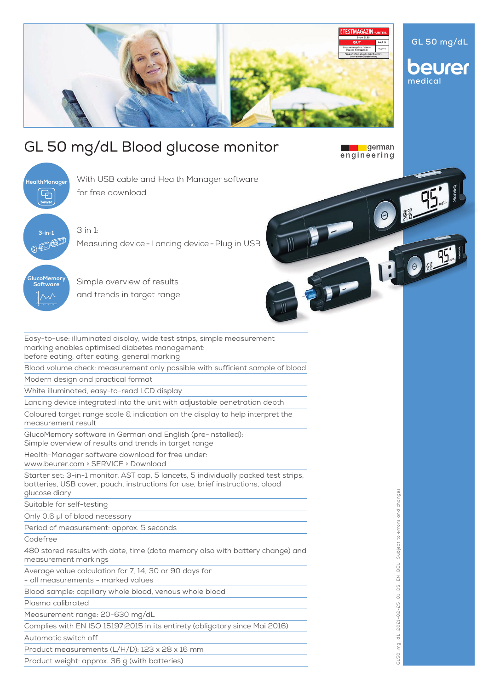

## GL 50 mg/dL Blood glucose monitor

**HealthManager**  $\overline{\mathbb{G}}$ **3-in-1**<br><sub>5</sub> 4回 000 ucoMemor **Software**

for free download

With USB cable and Health Manager software

3 in 1: Measuring device-Lancing device-Plug in USB

Simple overview of results

and trends in target range

Easy-to-use: illuminated display, wide test strips, simple measurement marking enables optimised diabetes management: before eating, after eating, general marking

Blood volume check: measurement only possible with sufficient sample of blood

Modern design and practical format

White illuminated, easy-to-read LCD display

Lancing device integrated into the unit with adjustable penetration depth

Coloured target range scale & indication on the display to help interpret the measurement result

GlucoMemory software in German and English (pre-installed): Simple overview of results and trends in target range

Health-Manager software download for free under:

www.beurer.com > SERVICE > Download

Starter set: 3-in-1 monitor, AST cap, 5 lancets, 5 individually packed test strips, batteries, USB cover, pouch, instructions for use, brief instructions, blood glucose diary

Suitable for self-testing

Only 0.6 μl of blood necessary

Period of measurement: approx. 5 seconds

Codefree

480 stored results with date, time (data memory also with battery change) and measurement markings

Average value calculation for 7, 14, 30 or 90 days for

- all measurements - marked values

Blood sample: capillary whole blood, venous whole blood

Plasma calibrated

Measurement range: 20-630 mg/dL

Complies with EN ISO 15197:2015 in its entirety (obligatory since Mai 2016)

Automatic switch off

Product measurements (L/H/D): 123 x 28 x 16 mm

Product weight: approx. 36 g (with batteries)

Subject to errors and changes GL50\_mg\_dL\_2021-02-25\_01\_DS\_EN\_BEU Subject to errors and changes  $\Xi$ 5L50\_mg\_dL\_2021-02-25\_01\_DS\_EN\_

german engineering

OFF